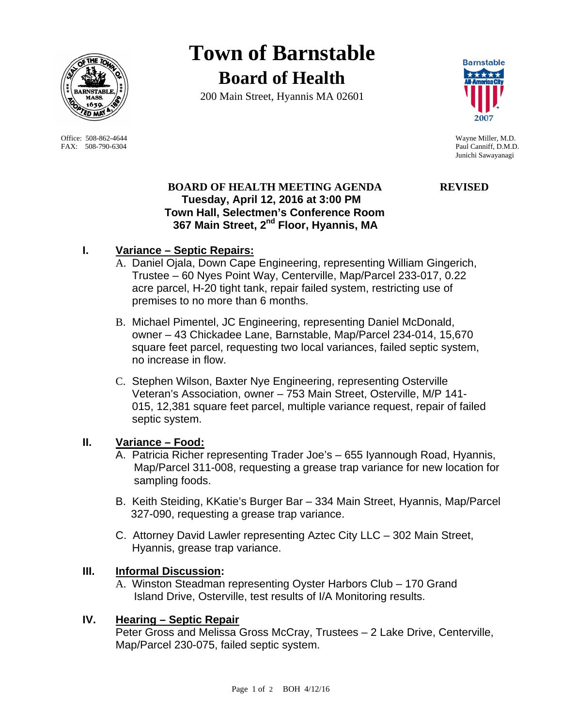

Office: 508-862-4644 Wayne Miller, M.D. FAX: 508-790-6304 Paul Canniff, D.M.D.

**Town of Barnstable Board of Health**

200 Main Street, Hyannis MA 02601



Junichi Sawayanagi

# **BOARD OF HEALTH MEETING AGENDA REVISED Tuesday, April 12, 2016 at 3:00 PM Town Hall, Selectmen's Conference Room 367 Main Street, 2nd Floor, Hyannis, MA**

# **I. Variance – Septic Repairs:**

- A. Daniel Ojala, Down Cape Engineering, representing William Gingerich, Trustee – 60 Nyes Point Way, Centerville, Map/Parcel 233-017, 0.22 acre parcel, H-20 tight tank, repair failed system, restricting use of premises to no more than 6 months.
- B. Michael Pimentel, JC Engineering, representing Daniel McDonald, owner – 43 Chickadee Lane, Barnstable, Map/Parcel 234-014, 15,670 square feet parcel, requesting two local variances, failed septic system, no increase in flow.
- C. Stephen Wilson, Baxter Nye Engineering, representing Osterville Veteran's Association, owner – 753 Main Street, Osterville, M/P 141- 015, 12,381 square feet parcel, multiple variance request, repair of failed septic system.

# **II. Variance – Food:**

- A. Patricia Richer representing Trader Joe's 655 Iyannough Road, Hyannis, Map/Parcel 311-008, requesting a grease trap variance for new location for sampling foods.
- B. Keith Steiding, KKatie's Burger Bar 334 Main Street, Hyannis, Map/Parcel 327-090, requesting a grease trap variance.
- C. Attorney David Lawler representing Aztec City LLC 302 Main Street, Hyannis, grease trap variance.

# **III. Informal Discussion:**

A. Winston Steadman representing Oyster Harbors Club – 170 Grand Island Drive, Osterville, test results of I/A Monitoring results.

# **IV. Hearing – Septic Repair**

Peter Gross and Melissa Gross McCray, Trustees – 2 Lake Drive, Centerville, Map/Parcel 230-075, failed septic system.